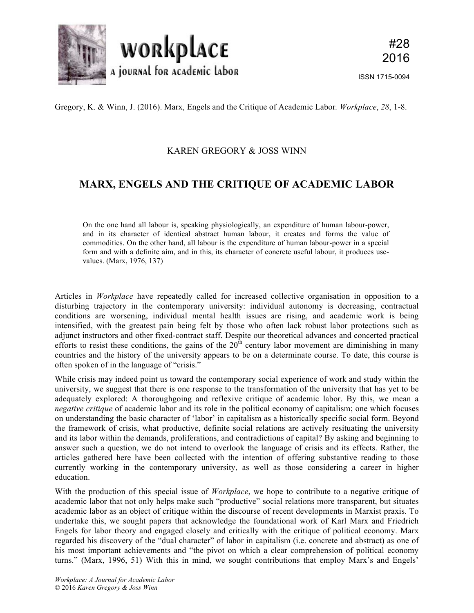

Gregory, K. & Winn, J. (2016). Marx, Engels and the Critique of Academic Labor*. Workplace*, *28*, 1-8.

## KAREN GREGORY & JOSS WINN

## **MARX, ENGELS AND THE CRITIQUE OF ACADEMIC LABOR**

On the one hand all labour is, speaking physiologically, an expenditure of human labour-power, and in its character of identical abstract human labour, it creates and forms the value of commodities. On the other hand, all labour is the expenditure of human labour-power in a special form and with a definite aim, and in this, its character of concrete useful labour, it produces usevalues. (Marx, 1976, 137)

Articles in *Workplace* have repeatedly called for increased collective organisation in opposition to a disturbing trajectory in the contemporary university: individual autonomy is decreasing, contractual conditions are worsening, individual mental health issues are rising, and academic work is being intensified, with the greatest pain being felt by those who often lack robust labor protections such as adjunct instructors and other fixed-contract staff. Despite our theoretical advances and concerted practical efforts to resist these conditions, the gains of the  $20<sup>th</sup>$  century labor movement are diminishing in many countries and the history of the university appears to be on a determinate course. To date, this course is often spoken of in the language of "crisis."

While crisis may indeed point us toward the contemporary social experience of work and study within the university, we suggest that there is one response to the transformation of the university that has yet to be adequately explored: A thoroughgoing and reflexive critique of academic labor. By this, we mean a *negative critique* of academic labor and its role in the political economy of capitalism; one which focuses on understanding the basic character of 'labor' in capitalism as a historically specific social form. Beyond the framework of crisis, what productive, definite social relations are actively resituating the university and its labor within the demands, proliferations, and contradictions of capital? By asking and beginning to answer such a question, we do not intend to overlook the language of crisis and its effects. Rather, the articles gathered here have been collected with the intention of offering substantive reading to those currently working in the contemporary university, as well as those considering a career in higher education.

With the production of this special issue of *Workplace*, we hope to contribute to a negative critique of academic labor that not only helps make such "productive" social relations more transparent, but situates academic labor as an object of critique within the discourse of recent developments in Marxist praxis. To undertake this, we sought papers that acknowledge the foundational work of Karl Marx and Friedrich Engels for labor theory and engaged closely and critically with the critique of political economy. Marx regarded his discovery of the "dual character" of labor in capitalism (i.e. concrete and abstract) as one of his most important achievements and "the pivot on which a clear comprehension of political economy turns." (Marx, 1996, 51) With this in mind, we sought contributions that employ Marx's and Engels'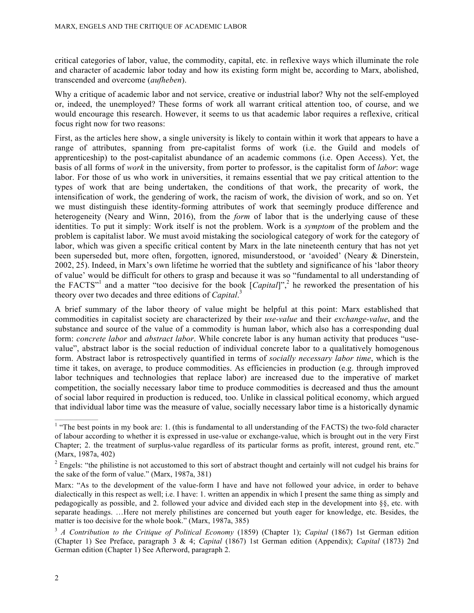critical categories of labor, value, the commodity, capital, etc. in reflexive ways which illuminate the role and character of academic labor today and how its existing form might be, according to Marx, abolished, transcended and overcome (*aufheben*).

Why a critique of academic labor and not service, creative or industrial labor? Why not the self-employed or, indeed, the unemployed? These forms of work all warrant critical attention too, of course, and we would encourage this research. However, it seems to us that academic labor requires a reflexive, critical focus right now for two reasons:

First, as the articles here show, a single university is likely to contain within it work that appears to have a range of attributes, spanning from pre-capitalist forms of work (i.e. the Guild and models of apprenticeship) to the post-capitalist abundance of an academic commons (i.e. Open Access). Yet, the basis of all forms of *work* in the university, from porter to professor, is the capitalist form of *labor*: wage labor. For those of us who work in universities, it remains essential that we pay critical attention to the types of work that are being undertaken, the conditions of that work, the precarity of work, the intensification of work, the gendering of work, the racism of work, the division of work, and so on. Yet we must distinguish these identity-forming attributes of work that seemingly produce difference and heterogeneity (Neary and Winn, 2016), from the *form* of labor that is the underlying cause of these identities. To put it simply: Work itself is not the problem. Work is a *symptom* of the problem and the problem is capitalist labor. We must avoid mistaking the sociological category of work for the category of labor, which was given a specific critical content by Marx in the late nineteenth century that has not yet been superseded but, more often, forgotten, ignored, misunderstood, or 'avoided' (Neary & Dinerstein, 2002, 25). Indeed, in Marx's own lifetime he worried that the subtlety and significance of his 'labor theory of value' would be difficult for others to grasp and because it was so "fundamental to all understanding of the FACTS<sup>"1</sup> and a matter "too decisive for the book [*Capital*]",<sup>2</sup> he reworked the presentation of his theory over two decades and three editions of *Capital*. 3

A brief summary of the labor theory of value might be helpful at this point: Marx established that commodities in capitalist society are characterized by their *use-value* and their *exchange-value*, and the substance and source of the value of a commodity is human labor, which also has a corresponding dual form: *concrete labor* and *abstract labor*. While concrete labor is any human activity that produces "usevalue", abstract labor is the social reduction of individual concrete labor to a qualitatively homogenous form. Abstract labor is retrospectively quantified in terms of *socially necessary labor time*, which is the time it takes, on average, to produce commodities. As efficiencies in production (e.g. through improved labor techniques and technologies that replace labor) are increased due to the imperative of market competition, the socially necessary labor time to produce commodities is decreased and thus the amount of social labor required in production is reduced, too. Unlike in classical political economy, which argued that individual labor time was the measure of value, socially necessary labor time is a historically dynamic

 $<sup>1</sup>$  "The best points in my book are: 1. (this is fundamental to all understanding of the FACTS) the two-fold character</sup> of labour according to whether it is expressed in use-value or exchange-value, which is brought out in the very First Chapter; 2. the treatment of surplus-value regardless of its particular forms as profit, interest, ground rent, etc." (Marx, 1987a, 402)

 $2$  Engels: "the philistine is not accustomed to this sort of abstract thought and certainly will not cudgel his brains for the sake of the form of value." (Marx, 1987a, 381)

Marx: "As to the development of the value-form I have and have not followed your advice, in order to behave dialectically in this respect as well; i.e. I have: 1. written an appendix in which I present the same thing as simply and pedagogically as possible, and 2. followed your advice and divided each step in the development into §§, etc. with separate headings. …Here not merely philistines are concerned but youth eager for knowledge, etc. Besides, the matter is too decisive for the whole book." (Marx, 1987a, 385)

<sup>3</sup> *A Contribution to the Critique of Political Economy* (1859) (Chapter 1); *Capital* (1867) 1st German edition (Chapter 1) See Preface, paragraph 3 & 4; *Capital* (1867) 1st German edition (Appendix); *Capital* (1873) 2nd German edition (Chapter 1) See Afterword, paragraph 2.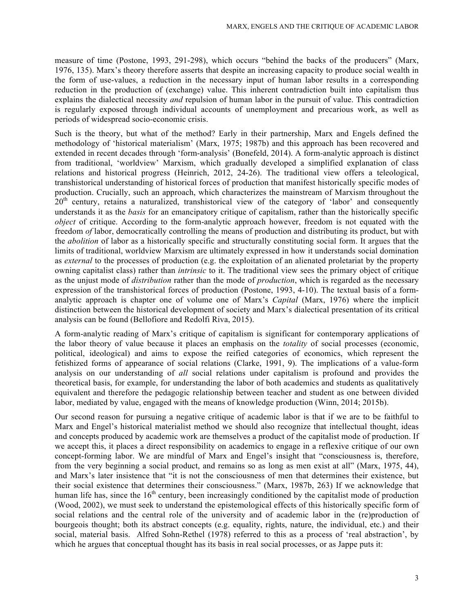measure of time (Postone, 1993, 291-298), which occurs "behind the backs of the producers" (Marx, 1976, 135). Marx's theory therefore asserts that despite an increasing capacity to produce social wealth in the form of use-values, a reduction in the necessary input of human labor results in a corresponding reduction in the production of (exchange) value. This inherent contradiction built into capitalism thus explains the dialectical necessity *and* repulsion of human labor in the pursuit of value. This contradiction is regularly exposed through individual accounts of unemployment and precarious work, as well as periods of widespread socio-economic crisis.

Such is the theory, but what of the method? Early in their partnership, Marx and Engels defined the methodology of 'historical materialism' (Marx, 1975; 1987b) and this approach has been recovered and extended in recent decades through 'form-analysis' (Bonefeld, 2014). A form-analytic approach is distinct from traditional, 'worldview' Marxism, which gradually developed a simplified explanation of class relations and historical progress (Heinrich, 2012, 24-26). The traditional view offers a teleological, transhistorical understanding of historical forces of production that manifest historically specific modes of production. Crucially, such an approach, which characterizes the mainstream of Marxism throughout the  $20<sup>th</sup>$  century, retains a naturalized, transhistorical view of the category of 'labor' and consequently understands it as the *basis* for an emancipatory critique of capitalism, rather than the historically specific *object* of critique. According to the form-analytic approach however, freedom is not equated with the freedom *of* labor, democratically controlling the means of production and distributing its product, but with the *abolition* of labor as a historically specific and structurally constituting social form. It argues that the limits of traditional, worldview Marxism are ultimately expressed in how it understands social domination as *external* to the processes of production (e.g. the exploitation of an alienated proletariat by the property owning capitalist class) rather than *intrinsic* to it. The traditional view sees the primary object of critique as the unjust mode of *distribution* rather than the mode of *production*, which is regarded as the necessary expression of the transhistorical forces of production (Postone, 1993, 4-10). The textual basis of a formanalytic approach is chapter one of volume one of Marx's *Capital* (Marx, 1976) where the implicit distinction between the historical development of society and Marx's dialectical presentation of its critical analysis can be found (Bellofiore and Redolfi Riva, 2015).

A form-analytic reading of Marx's critique of capitalism is significant for contemporary applications of the labor theory of value because it places an emphasis on the *totality* of social processes (economic, political, ideological) and aims to expose the reified categories of economics, which represent the fetishized forms of appearance of social relations (Clarke, 1991, 9). The implications of a value-form analysis on our understanding of *all* social relations under capitalism is profound and provides the theoretical basis, for example, for understanding the labor of both academics and students as qualitatively equivalent and therefore the pedagogic relationship between teacher and student as one between divided labor, mediated by value, engaged with the means of knowledge production (Winn, 2014; 2015b).

Our second reason for pursuing a negative critique of academic labor is that if we are to be faithful to Marx and Engel's historical materialist method we should also recognize that intellectual thought, ideas and concepts produced by academic work are themselves a product of the capitalist mode of production. If we accept this, it places a direct responsibility on academics to engage in a reflexive critique of our own concept-forming labor. We are mindful of Marx and Engel's insight that "consciousness is, therefore, from the very beginning a social product, and remains so as long as men exist at all" (Marx, 1975, 44), and Marx's later insistence that "it is not the consciousness of men that determines their existence, but their social existence that determines their consciousness." (Marx, 1987b, 263) If we acknowledge that human life has, since the 16<sup>th</sup> century, been increasingly conditioned by the capitalist mode of production (Wood, 2002), we must seek to understand the epistemological effects of this historically specific form of social relations and the central role of the university and of academic labor in the (re)production of bourgeois thought; both its abstract concepts (e.g. equality, rights, nature, the individual, etc.) and their social, material basis. Alfred Sohn-Rethel (1978) referred to this as a process of 'real abstraction', by which he argues that conceptual thought has its basis in real social processes, or as Jappe puts it: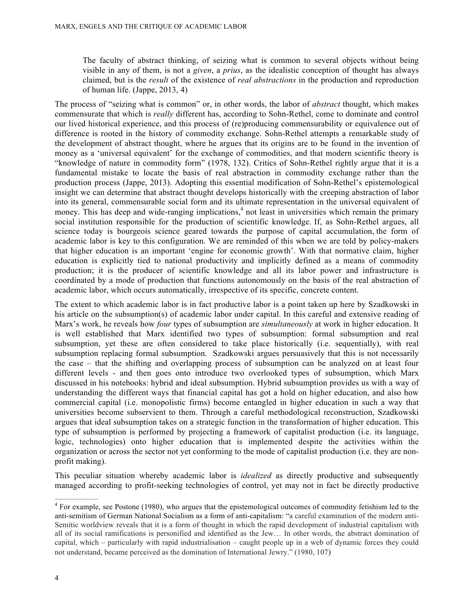The faculty of abstract thinking, of seizing what is common to several objects without being visible in any of them, is not a *given*, a *prius*, as the idealistic conception of thought has always claimed, but is the *result* of the existence of *real abstractions* in the production and reproduction of human life. (Jappe, 2013, 4)

The process of "seizing what is common" or, in other words, the labor of *abstract* thought, which makes commensurate that which is *really* different has, according to Sohn-Rethel, come to dominate and control our lived historical experience, and this process of (re)producing commensurability or equivalence out of difference is rooted in the history of commodity exchange. Sohn-Rethel attempts a remarkable study of the development of abstract thought, where he argues that its origins are to be found in the invention of money as a 'universal equivalent' for the exchange of commodities, and that modern scientific theory is "knowledge of nature in commodity form" (1978, 132). Critics of Sohn-Rethel rightly argue that it is a fundamental mistake to locate the basis of real abstraction in commodity exchange rather than the production process (Jappe, 2013). Adopting this essential modification of Sohn-Rethel's epistemological insight we can determine that abstract thought develops historically with the creeping abstraction of labor into its general, commensurable social form and its ultimate representation in the universal equivalent of money. This has deep and wide-ranging implications,<sup>4</sup> not least in universities which remain the primary social institution responsible for the production of scientific knowledge. If, as Sohn-Rethel argues, all science today is bourgeois science geared towards the purpose of capital accumulation, the form of academic labor is key to this configuration. We are reminded of this when we are told by policy-makers that higher education is an important 'engine for economic growth'. With that normative claim, higher education is explicitly tied to national productivity and implicitly defined as a means of commodity production; it is the producer of scientific knowledge and all its labor power and infrastructure is coordinated by a mode of production that functions autonomously on the basis of the real abstraction of academic labor, which occurs automatically, irrespective of its specific, concrete content.

The extent to which academic labor is in fact productive labor is a point taken up here by Szadkowski in his article on the subsumption(s) of academic labor under capital. In this careful and extensive reading of Marx's work, he reveals how *four* types of subsumption are *simultaneously* at work in higher education. It is well established that Marx identified two types of subsumption: formal subsumption and real subsumption, yet these are often considered to take place historically (i.e. sequentially), with real subsumption replacing formal subsumption. Szadkowski argues persuasively that this is not necessarily the case – that the shifting and overlapping process of subsumption can be analyzed on at least four different levels - and then goes onto introduce two overlooked types of subsumption, which Marx discussed in his notebooks: hybrid and ideal subsumption. Hybrid subsumption provides us with a way of understanding the different ways that financial capital has got a hold on higher education, and also how commercial capital (i.e. monopolistic firms) become entangled in higher education in such a way that universities become subservient to them. Through a careful methodological reconstruction, Szadkowski argues that ideal subsumption takes on a strategic function in the transformation of higher education. This type of subsumption is performed by projecting a framework of capitalist production (i.e. its language, logic, technologies) onto higher education that is implemented despite the activities within the organization or across the sector not yet conforming to the mode of capitalist production (i.e. they are nonprofit making).

This peculiar situation whereby academic labor is *idealized* as directly productive and subsequently managed according to profit-seeking technologies of control, yet may not in fact be directly productive

 $<sup>4</sup>$  For example, see Postone (1980), who argues that the epistemological outcomes of commodity fetishism led to the</sup> anti-semitism of German National Socialism as a form of anti-capitalism: "a careful examination of the modern anti-Semitic worldview reveals that it is a form of thought in which the rapid development of industrial capitalism with all of its social ramifications is personified and identified as the Jew… In other words, the abstract domination of capital, which – particularly with rapid industrialisation – caught people up in a web of dynamic forces they could not understand, became perceived as the domination of International Jewry." (1980, 107)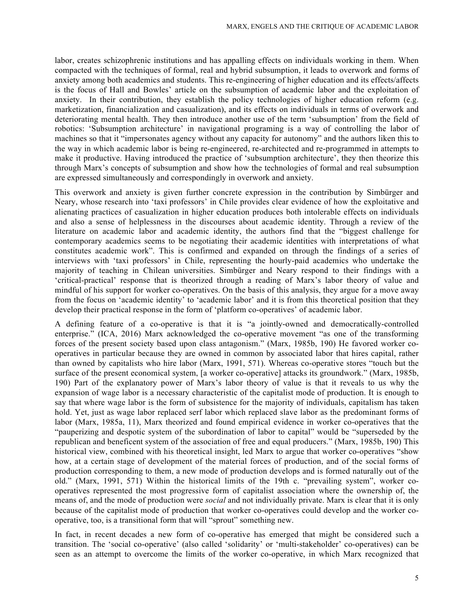labor, creates schizophrenic institutions and has appalling effects on individuals working in them. When compacted with the techniques of formal, real and hybrid subsumption, it leads to overwork and forms of anxiety among both academics and students. This re-engineering of higher education and its effects/affects is the focus of Hall and Bowles' article on the subsumption of academic labor and the exploitation of anxiety. In their contribution, they establish the policy technologies of higher education reform (e.g. marketization, financialization and casualization), and its effects on individuals in terms of overwork and deteriorating mental health. They then introduce another use of the term 'subsumption' from the field of robotics: 'Subsumption architecture' in navigational programing is a way of controlling the labor of machines so that it "impersonates agency without any capacity for autonomy" and the authors liken this to the way in which academic labor is being re-engineered, re-architected and re-programmed in attempts to make it productive. Having introduced the practice of 'subsumption architecture', they then theorize this through Marx's concepts of subsumption and show how the technologies of formal and real subsumption are expressed simultaneously and correspondingly in overwork and anxiety.

This overwork and anxiety is given further concrete expression in the contribution by Simbürger and Neary, whose research into 'taxi professors' in Chile provides clear evidence of how the exploitative and alienating practices of casualization in higher education produces both intolerable effects on individuals and also a sense of helplessness in the discourses about academic identity. Through a review of the literature on academic labor and academic identity, the authors find that the "biggest challenge for contemporary academics seems to be negotiating their academic identities with interpretations of what constitutes academic work". This is confirmed and expanded on through the findings of a series of interviews with 'taxi professors' in Chile, representing the hourly-paid academics who undertake the majority of teaching in Chilean universities. Simbürger and Neary respond to their findings with a 'critical-practical' response that is theorized through a reading of Marx's labor theory of value and mindful of his support for worker co-operatives. On the basis of this analysis, they argue for a move away from the focus on 'academic identity' to 'academic labor' and it is from this theoretical position that they develop their practical response in the form of 'platform co-operatives' of academic labor.

A defining feature of a co-operative is that it is "a jointly-owned and democratically-controlled enterprise." (ICA, 2016) Marx acknowledged the co-operative movement "as one of the transforming forces of the present society based upon class antagonism." (Marx, 1985b, 190) He favored worker cooperatives in particular because they are owned in common by associated labor that hires capital, rather than owned by capitalists who hire labor (Marx, 1991, 571). Whereas co-operative stores "touch but the surface of the present economical system, [a worker co-operative] attacks its groundwork." (Marx, 1985b, 190) Part of the explanatory power of Marx's labor theory of value is that it reveals to us why the expansion of wage labor is a necessary characteristic of the capitalist mode of production. It is enough to say that where wage labor is the form of subsistence for the majority of individuals, capitalism has taken hold. Yet, just as wage labor replaced serf labor which replaced slave labor as the predominant forms of labor (Marx, 1985a, 11), Marx theorized and found empirical evidence in worker co-operatives that the "pauperizing and despotic system of the subordination of labor to capital" would be "superseded by the republican and beneficent system of the association of free and equal producers." (Marx, 1985b, 190) This historical view, combined with his theoretical insight, led Marx to argue that worker co-operatives "show how, at a certain stage of development of the material forces of production, and of the social forms of production corresponding to them, a new mode of production develops and is formed naturally out of the old." (Marx, 1991, 571) Within the historical limits of the 19th c. "prevailing system", worker cooperatives represented the most progressive form of capitalist association where the ownership of, the means of, and the mode of production were *social* and not individually private. Marx is clear that it is only because of the capitalist mode of production that worker co-operatives could develop and the worker cooperative, too, is a transitional form that will "sprout" something new.

In fact, in recent decades a new form of co-operative has emerged that might be considered such a transition. The 'social co-operative' (also called 'solidarity' or 'multi-stakeholder' co-operatives) can be seen as an attempt to overcome the limits of the worker co-operative, in which Marx recognized that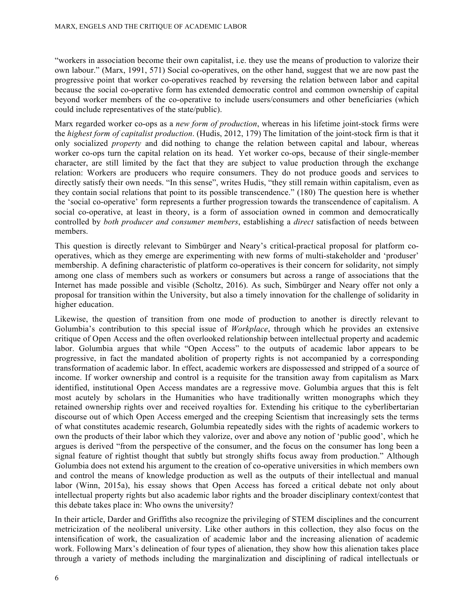"workers in association become their own capitalist, i.e. they use the means of production to valorize their own labour." (Marx, 1991, 571) Social co-operatives, on the other hand, suggest that we are now past the progressive point that worker co-operatives reached by reversing the relation between labor and capital because the social co-operative form has extended democratic control and common ownership of capital beyond worker members of the co-operative to include users/consumers and other beneficiaries (which could include representatives of the state/public).

Marx regarded worker co-ops as a *new form of production*, whereas in his lifetime joint-stock firms were the *highest form of capitalist production*. (Hudis, 2012, 179) The limitation of the joint-stock firm is that it only socialized *property* and did nothing to change the relation between capital and labour, whereas worker co-ops turn the capital relation on its head. Yet worker co-ops, because of their single-member character, are still limited by the fact that they are subject to value production through the exchange relation: Workers are producers who require consumers. They do not produce goods and services to directly satisfy their own needs. "In this sense", writes Hudis, "they still remain within capitalism, even as they contain social relations that point to its possible transcendence." (180) The question here is whether the 'social co-operative' form represents a further progression towards the transcendence of capitalism. A social co-operative, at least in theory, is a form of association owned in common and democratically controlled by *both producer and consumer members*, establishing a *direct* satisfaction of needs between members.

This question is directly relevant to Simbürger and Neary's critical-practical proposal for platform cooperatives, which as they emerge are experimenting with new forms of multi-stakeholder and 'produser' membership. A defining characteristic of platform co-operatives is their concern for solidarity, not simply among one class of members such as workers or consumers but across a range of associations that the Internet has made possible and visible (Scholtz, 2016). As such, Simbürger and Neary offer not only a proposal for transition within the University, but also a timely innovation for the challenge of solidarity in higher education.

Likewise, the question of transition from one mode of production to another is directly relevant to Golumbia's contribution to this special issue of *Workplace*, through which he provides an extensive critique of Open Access and the often overlooked relationship between intellectual property and academic labor. Golumbia argues that while "Open Access" to the outputs of academic labor appears to be progressive, in fact the mandated abolition of property rights is not accompanied by a corresponding transformation of academic labor. In effect, academic workers are dispossessed and stripped of a source of income. If worker ownership and control is a requisite for the transition away from capitalism as Marx identified, institutional Open Access mandates are a regressive move. Golumbia argues that this is felt most acutely by scholars in the Humanities who have traditionally written monographs which they retained ownership rights over and received royalties for. Extending his critique to the cyberlibertarian discourse out of which Open Access emerged and the creeping Scientism that increasingly sets the terms of what constitutes academic research, Golumbia repeatedly sides with the rights of academic workers to own the products of their labor which they valorize, over and above any notion of 'public good', which he argues is derived "from the perspective of the consumer, and the focus on the consumer has long been a signal feature of rightist thought that subtly but strongly shifts focus away from production." Although Golumbia does not extend his argument to the creation of co-operative universities in which members own and control the means of knowledge production as well as the outputs of their intellectual and manual labor (Winn, 2015a), his essay shows that Open Access has forced a critical debate not only about intellectual property rights but also academic labor rights and the broader disciplinary context/contest that this debate takes place in: Who owns the university?

In their article, Darder and Griffiths also recognize the privileging of STEM disciplines and the concurrent metricization of the neoliberal university. Like other authors in this collection, they also focus on the intensification of work, the casualization of academic labor and the increasing alienation of academic work. Following Marx's delineation of four types of alienation, they show how this alienation takes place through a variety of methods including the marginalization and disciplining of radical intellectuals or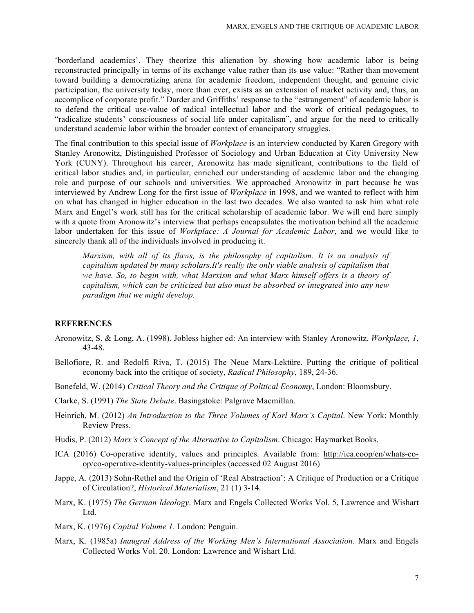'borderland academics'. They theorize this alienation by showing how academic labor is being reconstructed principally in terms of its exchange value rather than its use value: "Rather than movement toward building a democratizing arena for academic freedom, independent thought, and genuine civic participation, the university today, more than ever, exists as an extension of market activity and, thus, an accomplice of corporate profit." Darder and Griffiths' response to the "estrangement" of academic labor is to defend the critical use-value of radical intellectual labor and the work of critical pedagogues, to "radicalize students' consciousness of social life under capitalism", and argue for the need to critically understand academic labor within the broader context of emancipatory struggles.

The final contribution to this special issue of *Workplace* is an interview conducted by Karen Gregory with Stanley Aronowitz, Distinguished Professor of Sociology and Urban Education at City University New York (CUNY). Throughout his career, Aronowitz has made significant, contributions to the field of critical labor studies and, in particular, enriched our understanding of academic labor and the changing role and purpose of our schools and universities. We approached Aronowitz in part because he was interviewed by Andrew Long for the first issue of *Workplace* in 1998, and we wanted to reflect with him on what has changed in higher education in the last two decades. We also wanted to ask him what role Marx and Engel's work still has for the critical scholarship of academic labor. We will end here simply with a quote from Aronowitz's interview that perhaps encapsulates the motivation behind all the academic labor undertaken for this issue of *Workplace: A Journal for Academic Labor*, and we would like to sincerely thank all of the individuals involved in producing it.

*Marxism, with all of its flaws, is the philosophy of capitalism. It is an analysis of capitalism updated by many scholars.It's really the only viable analysis of capitalism that we have. So, to begin with, what Marxism and what Marx himself offers is a theory of capitalism, which can be criticized but also must be absorbed or integrated into any new paradigm that we might develop.*

## **REFERENCES**

- Aronowitz, S. & Long, A. (1998). Jobless higher ed: An interview with Stanley Aronowitz. *Workplace, 1*, 43-48.
- Bellofiore, R. and Redolfi Riva, T. (2015) The Neue Marx-Lektüre. Putting the critique of political economy back into the critique of society, *Radical Philosophy*, 189, 24-36.
- Bonefeld, W. (2014) *Critical Theory and the Critique of Political Economy*, London: Bloomsbury.
- Clarke, S. (1991) *The State Debate*. Basingstoke: Palgrave Macmillan.
- Heinrich, M. (2012) *An Introduction to the Three Volumes of Karl Marx's Capital*. New York: Monthly Review Press.
- Hudis, P. (2012) *Marx's Concept of the Alternative to Capitalism*. Chicago: Haymarket Books.
- ICA (2016) Co-operative identity, values and principles. Available from: http://ica.coop/en/whats-coop/co-operative-identity-values-principles (accessed 02 August 2016)
- Jappe, A. (2013) Sohn-Rethel and the Origin of 'Real Abstraction': A Critique of Production or a Critique of Circulation?, *Historical Materialism*, 21 (1) 3-14.
- Marx, K. (1975) *The German Ideology*. Marx and Engels Collected Works Vol. 5, Lawrence and Wishart Ltd.
- Marx, K. (1976) *Capital Volume 1*. London: Penguin.
- Marx, K. (1985a) *Inaugral Address of the Working Men's International Association*. Marx and Engels Collected Works Vol. 20. London: Lawrence and Wishart Ltd.